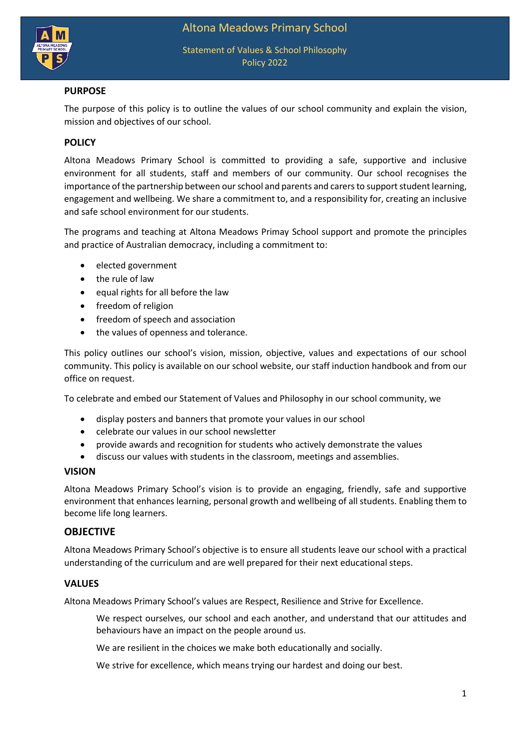

# **PURPOSE**

The purpose of this policy is to outline the values of our school community and explain the vision, mission and objectives of our school.

# **POLICY**

Altona Meadows Primary School is committed to providing a safe, supportive and inclusive environment for all students, staff and members of our community. Our school recognises the importance of the partnership between our school and parents and carers to support student learning, engagement and wellbeing. We share a commitment to, and a responsibility for, creating an inclusive and safe school environment for our students.

The programs and teaching at Altona Meadows Primay School support and promote the principles and practice of Australian democracy, including a commitment to:

- elected government
- the rule of law
- equal rights for all before the law
- freedom of religion
- freedom of speech and association
- the values of openness and tolerance.

This policy outlines our school's vision, mission, objective, values and expectations of our school community. This policy is available on our school website, our staff induction handbook and from our office on request.

To celebrate and embed our Statement of Values and Philosophy in our school community, we

- display posters and banners that promote your values in our school
- celebrate our values in our school newsletter
- provide awards and recognition for students who actively demonstrate the values
- discuss our values with students in the classroom, meetings and assemblies.

### **VISION**

Altona Meadows Primary School's vision is to provide an engaging, friendly, safe and supportive environment that enhances learning, personal growth and wellbeing of all students. Enabling them to become life long learners.

## **OBJECTIVE**

Altona Meadows Primary School's objective is to ensure all students leave our school with a practical understanding of the curriculum and are well prepared for their next educational steps.

## **VALUES**

Altona Meadows Primary School's values are Respect, Resilience and Strive for Excellence.

We respect ourselves, our school and each another, and understand that our attitudes and behaviours have an impact on the people around us.

We are resilient in the choices we make both educationally and socially.

We strive for excellence, which means trying our hardest and doing our best.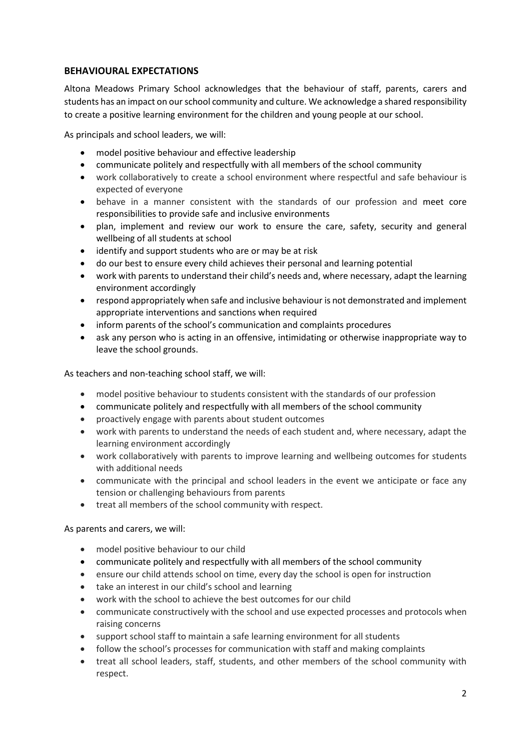# **BEHAVIOURAL EXPECTATIONS**

Altona Meadows Primary School acknowledges that the behaviour of staff, parents, carers and students has an impact on our school community and culture. We acknowledge a shared responsibility to create a positive learning environment for the children and young people at our school.

As principals and school leaders, we will:

- model positive behaviour and effective leadership
- communicate politely and respectfully with all members of the school community
- work collaboratively to create a school environment where respectful and safe behaviour is expected of everyone
- behave in a manner consistent with the standards of our profession and meet core responsibilities to provide safe and inclusive environments
- plan, implement and review our work to ensure the care, safety, security and general wellbeing of all students at school
- identify and support students who are or may be at risk
- do our best to ensure every child achieves their personal and learning potential
- work with parents to understand their child's needs and, where necessary, adapt the learning environment accordingly
- respond appropriately when safe and inclusive behaviour is not demonstrated and implement appropriate interventions and sanctions when required
- inform parents of the school's communication and complaints procedures
- ask any person who is acting in an offensive, intimidating or otherwise inappropriate way to leave the school grounds.

As teachers and non-teaching school staff, we will:

- model positive behaviour to students consistent with the standards of our profession
- communicate politely and respectfully with all members of the school community
- proactively engage with parents about student outcomes
- work with parents to understand the needs of each student and, where necessary, adapt the learning environment accordingly
- work collaboratively with parents to improve learning and wellbeing outcomes for students with additional needs
- communicate with the principal and school leaders in the event we anticipate or face any tension or challenging behaviours from parents
- treat all members of the school community with respect.

### As parents and carers, we will:

- model positive behaviour to our child
- communicate politely and respectfully with all members of the school community
- ensure our child attends school on time, every day the school is open for instruction
- take an interest in our child's school and learning
- work with the school to achieve the best outcomes for our child
- communicate constructively with the school and use expected processes and protocols when raising concerns
- support school staff to maintain a safe learning environment for all students
- follow the school's processes for communication with staff and making complaints
- treat all school leaders, staff, students, and other members of the school community with respect.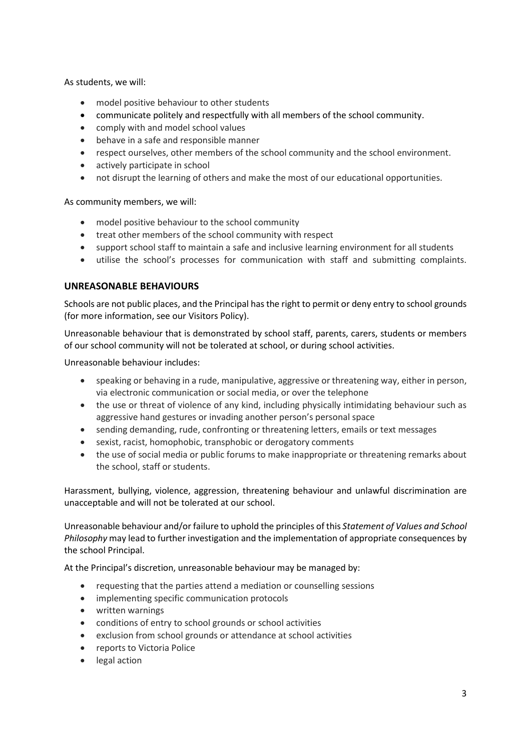As students, we will:

- model positive behaviour to other students
- communicate politely and respectfully with all members of the school community.
- comply with and model school values
- behave in a safe and responsible manner
- respect ourselves, other members of the school community and the school environment.
- actively participate in school
- not disrupt the learning of others and make the most of our educational opportunities.

As community members, we will:

- model positive behaviour to the school community
- treat other members of the school community with respect
- support school staff to maintain a safe and inclusive learning environment for all students
- utilise the school's processes for communication with staff and submitting complaints.

## **UNREASONABLE BEHAVIOURS**

Schools are not public places, and the Principal has the right to permit or deny entry to school grounds (for more information, see our Visitors Policy).

Unreasonable behaviour that is demonstrated by school staff, parents, carers, students or members of our school community will not be tolerated at school, or during school activities.

Unreasonable behaviour includes:

- speaking or behaving in a rude, manipulative, aggressive or threatening way, either in person, via electronic communication or social media, or over the telephone
- the use or threat of violence of any kind, including physically intimidating behaviour such as aggressive hand gestures or invading another person's personal space
- sending demanding, rude, confronting or threatening letters, emails or text messages
- sexist, racist, homophobic, transphobic or derogatory comments
- the use of social media or public forums to make inappropriate or threatening remarks about the school, staff or students.

Harassment, bullying, violence, aggression, threatening behaviour and unlawful discrimination are unacceptable and will not be tolerated at our school.

Unreasonable behaviour and/or failure to uphold the principles of this *Statement of Values and School Philosophy* may lead to further investigation and the implementation of appropriate consequences by the school Principal.

At the Principal's discretion, unreasonable behaviour may be managed by:

- requesting that the parties attend a mediation or counselling sessions
- implementing specific communication protocols
- written warnings
- conditions of entry to school grounds or school activities
- exclusion from school grounds or attendance at school activities
- reports to Victoria Police
- legal action